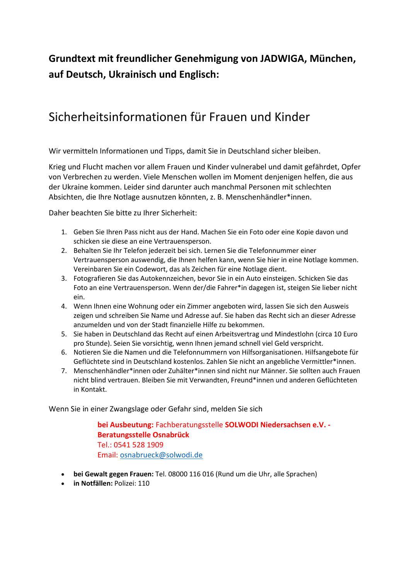## **Grundtext mit freundlicher Genehmigung von JADWIGA, München, auf Deutsch, Ukrainisch und Englisch:**

## Sicherheitsinformationen für Frauen und Kinder

Wir vermitteln Informationen und Tipps, damit Sie in Deutschland sicher bleiben.

Krieg und Flucht machen vor allem Frauen und Kinder vulnerabel und damit gefährdet, Opfer von Verbrechen zu werden. Viele Menschen wollen im Moment denjenigen helfen, die aus der Ukraine kommen. Leider sind darunter auch manchmal Personen mit schlechten Absichten, die Ihre Notlage ausnutzen könnten, z. B. Menschenhändler\*innen.

Daher beachten Sie bitte zu Ihrer Sicherheit:

- 1. Geben Sie Ihren Pass nicht aus der Hand. Machen Sie ein Foto oder eine Kopie davon und schicken sie diese an eine Vertrauensperson.
- 2. Behalten Sie Ihr Telefon jederzeit bei sich. Lernen Sie die Telefonnummer einer Vertrauensperson auswendig, die Ihnen helfen kann, wenn Sie hier in eine Notlage kommen. Vereinbaren Sie ein Codewort, das als Zeichen für eine Notlage dient.
- 3. Fotografieren Sie das Autokennzeichen, bevor Sie in ein Auto einsteigen. Schicken Sie das Foto an eine Vertrauensperson. Wenn der/die Fahrer\*in dagegen ist, steigen Sie lieber nicht ein.
- 4. Wenn Ihnen eine Wohnung oder ein Zimmer angeboten wird, lassen Sie sich den Ausweis zeigen und schreiben Sie Name und Adresse auf. Sie haben das Recht sich an dieser Adresse anzumelden und von der Stadt finanzielle Hilfe zu bekommen.
- 5. Sie haben in Deutschland das Recht auf einen Arbeitsvertrag und Mindestlohn (circa 10 Euro pro Stunde). Seien Sie vorsichtig, wenn Ihnen jemand schnell viel Geld verspricht.
- 6. Notieren Sie die Namen und die Telefonnummern von Hilfsorganisationen. Hilfsangebote für Geflüchtete sind in Deutschland kostenlos. Zahlen Sie nicht an angebliche Vermittler\*innen.
- 7. Menschenhändler\*innen oder Zuhälter\*innen sind nicht nur Männer. Sie sollten auch Frauen nicht blind vertrauen. Bleiben Sie mit Verwandten, Freund\*innen und anderen Geflüchteten in Kontakt.

Wenn Sie in einer Zwangslage oder Gefahr sind, melden Sie sich

**bei Ausbeutung:** Fachberatungsstelle **SOLWODI Niedersachsen e.V. - Beratungsstelle Osnabrück** Tel.: 0541 528 1909 Email: [osnabrueck@solwodi.de](mailto:osnabrueck@solwodi.de)

- **bei Gewalt gegen Frauen:** Tel. 08000 116 016 (Rund um die Uhr, alle Sprachen)
- **in Notfällen:** Polizei: 110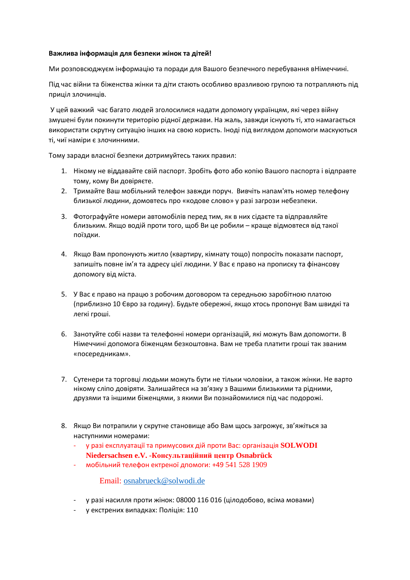## **Важлива інформація для безпеки жінок та дітей!**

Ми розповсюджуєм інформацію та поради для Вашого безпечного перебування вНімеччині.

Під час війни та біженства жінки та діти стають особливо вразливою групою та потрапляють під приціл злочинців.

У цей важкий час багато людей зголосилися надати допомогу українцям, які через війну змушені були покинути територію рідної держави. На жаль, завжди існують ті, хто намагається використати скрутну ситуацію інших на свою користь. Іноді під виглядом допомоги маскуються ті, чиї наміри є злочинними.

Тому заради власної безпеки дотримуйтесь таких правил:

- 1. Нікому не віддавайте свій паспорт. Зробіть фото або копію Вашого паспорта і відправте тому, кому Ви довіряєте.
- 2. Тримайте Ваш мобільний телефон завжди поруч. Вивчіть напам'ять номер телефону близької людини, домовтесь про «кодове слово» у разі загрози небезпеки.
- 3. Фотографуйте номери автомобілів перед тим, як в них сідаєте та відправляйте близьким. Якщо водій проти того, щоб Ви це робили – краще відмовтеся від такої поїздки.
- 4. Якщо Вам пропонують житло (квартиру, кімнату тощо) попросіть показати паспорт, запишіть повне ім'я та адресу цієї людини. У Вас є право на прописку та фінансову допомогу від міста.
- 5. У Вас є право на працю з робочим договором та середньою заробітною платою (приблизно 10 Євро за годину). Будьте обережні, якщо хтось пропонує Вам швидкі та легкі гроші.
- 6. Занотуйте собі назви та телефонні номери організацій, які можуть Вам допомогти. В Німеччині допомога біженцям безкоштовна. Вам не треба платити гроші так званим «посередникам».
- 7. Сутенери та торговці людьми можуть бути не тільки чоловіки, а також жінки. Не варто нікому сліпо довіряти. Залишайтеся на зв'язку з Вашими близькими та рідними, друзями та іншими біженцями, з якими Ви познайомилися під час подорожі.
- 8. Якщо Ви потрапили у скрутне становище або Вам щось загрожує, зв'яжіться за наступними номерами:
	- у разі експлуатації та примусових дій проти Вас: організація **SOLWODI Niedersachsen e.V. -Консультаційний центр Osnabrück**
	- мобільний телефон ектреної дпомоги: +49 541 528 1909

Email: [osnabrueck@solwodi.de](mailto:osnabrueck@solwodi.de)

- у разі насилля проти жінок: 08000 116 016 (цілодобово, всіма мовами)
- у екстрених випадках: Поліція: 110